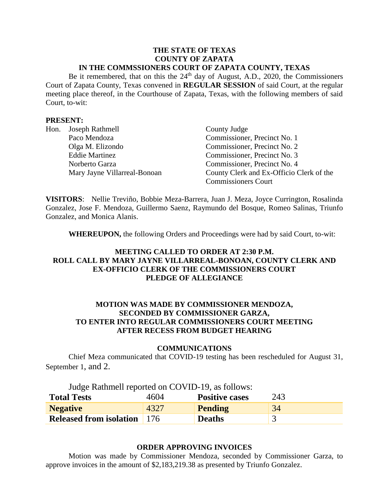#### **THE STATE OF TEXAS COUNTY OF ZAPATA IN THE COMMSSIONERS COURT OF ZAPATA COUNTY, TEXAS**

Be it remembered, that on this the 24<sup>th</sup> day of August, A.D., 2020, the Commissioners Court of Zapata County, Texas convened in **REGULAR SESSION** of said Court, at the regular meeting place thereof, in the Courthouse of Zapata, Texas, with the following members of said Court, to-wit:

### **PRESENT:**

| Hon. | Joseph Rathmell              | County Judge                             |
|------|------------------------------|------------------------------------------|
|      | Paco Mendoza                 | Commissioner, Precinct No. 1             |
|      | Olga M. Elizondo             | Commissioner, Precinct No. 2             |
|      | <b>Eddie Martinez</b>        | Commissioner, Precinct No. 3             |
|      | Norberto Garza               | Commissioner, Precinct No. 4             |
|      | Mary Jayne Villarreal-Bonoan | County Clerk and Ex-Officio Clerk of the |
|      |                              | <b>Commissioners Court</b>               |

**VISITORS**: Nellie Treviño, Bobbie Meza-Barrera, Juan J. Meza, Joyce Currington, Rosalinda Gonzalez, Jose F. Mendoza, Guillermo Saenz, Raymundo del Bosque, Romeo Salinas, Triunfo Gonzalez, and Monica Alanis.

**WHEREUPON,** the following Orders and Proceedings were had by said Court, to-wit:

# **MEETING CALLED TO ORDER AT 2:30 P.M. ROLL CALL BY MARY JAYNE VILLARREAL-BONOAN, COUNTY CLERK AND EX-OFFICIO CLERK OF THE COMMISSIONERS COURT PLEDGE OF ALLEGIANCE**

# **MOTION WAS MADE BY COMMISSIONER MENDOZA, SECONDED BY COMMISSIONER GARZA, TO ENTER INTO REGULAR COMMISSIONERS COURT MEETING AFTER RECESS FROM BUDGET HEARING**

#### **COMMUNICATIONS**

Chief Meza communicated that COVID-19 testing has been rescheduled for August 31, September 1, and 2.

| Judge Rathmell reported on COVID-19, as follows: |  |
|--------------------------------------------------|--|
|                                                  |  |

| <b>Total Tests</b>                 | 4604 | <b>Positive cases</b> | 243 |
|------------------------------------|------|-----------------------|-----|
| <b>Negative</b>                    | 4327 | Pending               | 34  |
| <b>Released from isolation</b> 176 |      | <b>Deaths</b>         |     |

# **ORDER APPROVING INVOICES**

Motion was made by Commissioner Mendoza, seconded by Commissioner Garza, to approve invoices in the amount of \$2,183,219.38 as presented by Triunfo Gonzalez.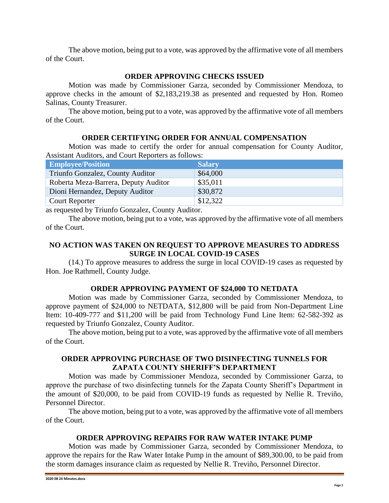# **ORDER APPROVING CHECKS ISSUED**

Motion was made by Commissioner Garza, seconded by Commissioner Mendoza, to approve checks in the amount of \$2,183,219.38 as presented and requested by Hon. Romeo Salinas, County Treasurer.

The above motion, being put to a vote, was approved by the affirmative vote of all members of the Court.

## **ORDER CERTIFYING ORDER FOR ANNUAL COMPENSATION**

Motion was made to certify the order for annual compensation for County Auditor, Assistant Auditors, and Court Reporters as follows:

| <b>Employee/Position</b>             | <b>Salary</b> |
|--------------------------------------|---------------|
| Triunfo Gonzalez, County Auditor     | \$64,000      |
| Roberta Meza-Barrera, Deputy Auditor | \$35,011      |
| Dioni Hernandez, Deputy Auditor      | \$30,872      |
| <b>Court Reporter</b>                | \$12,322      |

as requested by Triunfo Gonzalez, County Auditor.

The above motion, being put to a vote, was approved by the affirmative vote of all members of the Court.

# **NO ACTION WAS TAKEN ON REQUEST TO APPROVE MEASURES TO ADDRESS SURGE IN LOCAL COVID-19 CASES**

(14.) To approve measures to address the surge in local COVID-19 cases as requested by Hon. Joe Rathmell, County Judge.

### **ORDER APPROVING PAYMENT OF \$24,000 TO NETDATA**

Motion was made by Commissioner Garza, seconded by Commissioner Mendoza, to approve payment of \$24,000 to NETDATA, \$12,800 will be paid from Non-Department Line Item: 10-409-777 and \$11,200 will be paid from Technology Fund Line Item: 62-582-392 as requested by Triunfo Gonzalez, County Auditor.

The above motion, being put to a vote, was approved by the affirmative vote of all members of the Court.

## **ORDER APPROVING PURCHASE OF TWO DISINFECTING TUNNELS FOR ZAPATA COUNTY SHERIFF'S DEPARTMENT**

Motion was made by Commissioner Mendoza, seconded by Commissioner Garza, to approve the purchase of two disinfecting tunnels for the Zapata County Sheriff's Department in the amount of \$20,000, to be paid from COVID-19 funds as requested by Nellie R. Treviño, Personnel Director.

The above motion, being put to a vote, was approved by the affirmative vote of all members of the Court.

### **ORDER APPROVING REPAIRS FOR RAW WATER INTAKE PUMP**

Motion was made by Commissioner Garza, seconded by Commissioner Mendoza, to approve the repairs for the Raw Water Intake Pump in the amount of \$89,300.00, to be paid from the storm damages insurance claim as requested by Nellie R. Treviño, Personnel Director.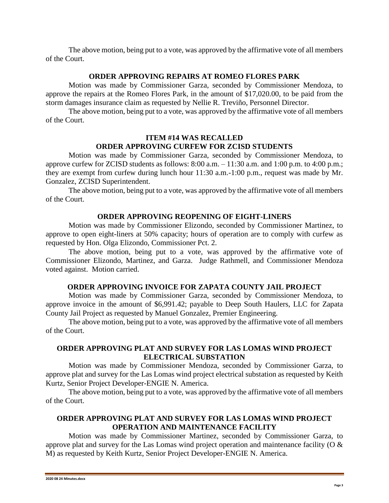#### **ORDER APPROVING REPAIRS AT ROMEO FLORES PARK**

Motion was made by Commissioner Garza, seconded by Commissioner Mendoza, to approve the repairs at the Romeo Flores Park, in the amount of \$17,020.00, to be paid from the storm damages insurance claim as requested by Nellie R. Treviño, Personnel Director.

The above motion, being put to a vote, was approved by the affirmative vote of all members of the Court.

# **ITEM #14 WAS RECALLED ORDER APPROVING CURFEW FOR ZCISD STUDENTS**

Motion was made by Commissioner Garza, seconded by Commissioner Mendoza, to approve curfew for ZCISD students as follows: 8:00 a.m. – 11:30 a.m. and 1:00 p.m. to 4:00 p.m.; they are exempt from curfew during lunch hour 11:30 a.m.-1:00 p.m., request was made by Mr. Gonzalez, ZCISD Superintendent.

The above motion, being put to a vote, was approved by the affirmative vote of all members of the Court.

#### **ORDER APPROVING REOPENING OF EIGHT-LINERS**

Motion was made by Commissioner Elizondo, seconded by Commissioner Martinez, to approve to open eight-liners at 50% capacity; hours of operation are to comply with curfew as requested by Hon. Olga Elizondo, Commissioner Pct. 2.

The above motion, being put to a vote, was approved by the affirmative vote of Commissioner Elizondo, Martinez, and Garza. Judge Rathmell, and Commissioner Mendoza voted against. Motion carried.

### **ORDER APPROVING INVOICE FOR ZAPATA COUNTY JAIL PROJECT**

Motion was made by Commissioner Garza, seconded by Commissioner Mendoza, to approve invoice in the amount of \$6,991.42; payable to Deep South Haulers, LLC for Zapata County Jail Project as requested by Manuel Gonzalez, Premier Engineering.

The above motion, being put to a vote, was approved by the affirmative vote of all members of the Court.

# **ORDER APPROVING PLAT AND SURVEY FOR LAS LOMAS WIND PROJECT ELECTRICAL SUBSTATION**

Motion was made by Commissioner Mendoza, seconded by Commissioner Garza, to approve plat and survey for the Las Lomas wind project electrical substation as requested by Keith Kurtz, Senior Project Developer-ENGIE N. America.

The above motion, being put to a vote, was approved by the affirmative vote of all members of the Court.

#### **ORDER APPROVING PLAT AND SURVEY FOR LAS LOMAS WIND PROJECT OPERATION AND MAINTENANCE FACILITY**

Motion was made by Commissioner Martinez, seconded by Commissioner Garza, to approve plat and survey for the Las Lomas wind project operation and maintenance facility (O & M) as requested by Keith Kurtz, Senior Project Developer-ENGIE N. America.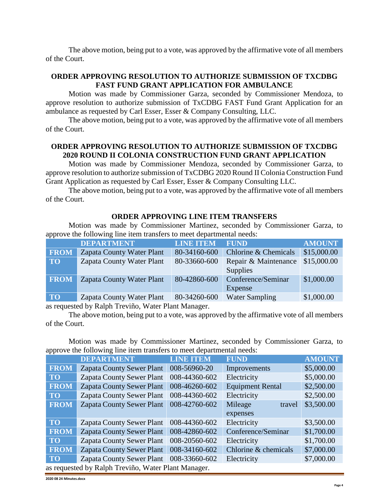### **ORDER APPROVING RESOLUTION TO AUTHORIZE SUBMISSION OF TXCDBG FAST FUND GRANT APPLICATION FOR AMBULANCE**

Motion was made by Commissioner Garza, seconded by Commissioner Mendoza, to approve resolution to authorize submission of TxCDBG FAST Fund Grant Application for an ambulance as requested by Carl Esser, Esser & Company Consulting, LLC.

The above motion, being put to a vote, was approved by the affirmative vote of all members of the Court.

# **ORDER APPROVING RESOLUTION TO AUTHORIZE SUBMISSION OF TXCDBG 2020 ROUND II COLONIA CONSTRUCTION FUND GRANT APPLICATION**

Motion was made by Commissioner Mendoza, seconded by Commissioner Garza, to approve resolution to authorize submission of TxCDBG 2020 Round II Colonia Construction Fund Grant Application as requested by Carl Esser, Esser & Company Consulting LLC.

The above motion, being put to a vote, was approved by the affirmative vote of all members of the Court.

### **ORDER APPROVING LINE ITEM TRANSFERS**

Motion was made by Commissioner Martinez, seconded by Commissioner Garza, to approve the following line item transfers to meet departmental needs:

|             | <b>DEPARTMENT</b>                | <b>LINE ITEM</b> | <b>FUND</b>                      | <b>AMOUNT</b> |
|-------------|----------------------------------|------------------|----------------------------------|---------------|
| <b>FROM</b> | Zapata County Water Plant        | 80-34160-600     | Chlorine & Chemicals             | \$15,000.00   |
| <b>TO</b>   | Zapata County Water Plant        | 80-33660-600     | Repair & Maintenance<br>Supplies | \$15,000.00   |
| <b>FROM</b> | <b>Zapata County Water Plant</b> | 80-42860-600     | Conference/Seminar<br>Expense    | \$1,000.00    |
| <b>TO</b>   | Zapata County Water Plant        | 80-34260-600     | <b>Water Sampling</b>            | \$1,000.00    |

as requested by Ralph Treviño, Water Plant Manager.

The above motion, being put to a vote, was approved by the affirmative vote of all members of the Court.

Motion was made by Commissioner Martinez, seconded by Commissioner Garza, to approve the following line item transfers to meet departmental needs:

| $\mathbf{r}$                                        |                                  |                  |                         |               |
|-----------------------------------------------------|----------------------------------|------------------|-------------------------|---------------|
|                                                     | <b>DEPARTMENT</b>                | <b>LINE ITEM</b> | <b>FUND</b>             | <b>AMOUNT</b> |
| <b>FROM</b>                                         | <b>Zapata County Sewer Plant</b> | 008-56960-20     | Improvements            | \$5,000.00    |
| <b>TO</b>                                           | <b>Zapata County Sewer Plant</b> | 008-44360-602    | Electricity             | \$5,000.00    |
| <b>FROM</b>                                         | <b>Zapata County Sewer Plant</b> | 008-46260-602    | <b>Equipment Rental</b> | \$2,500.00    |
| <b>TO</b>                                           | <b>Zapata County Sewer Plant</b> | 008-44360-602    | Electricity             | \$2,500.00    |
| <b>FROM</b>                                         | <b>Zapata County Sewer Plant</b> | 008-42760-602    | Mileage<br>travel       | \$3,500.00    |
|                                                     |                                  |                  | expenses                |               |
| <b>TO</b>                                           | <b>Zapata County Sewer Plant</b> | 008-44360-602    | Electricity             | \$3,500.00    |
| <b>FROM</b>                                         | <b>Zapata County Sewer Plant</b> | 008-42860-602    | Conference/Seminar      | \$1,700.00    |
| <b>TO</b>                                           | <b>Zapata County Sewer Plant</b> | 008-20560-602    | Electricity             | \$1,700.00    |
| <b>FROM</b>                                         | <b>Zapata County Sewer Plant</b> | 008-34160-602    | Chlorine & chemicals    | \$7,000.00    |
| TO                                                  | <b>Zapata County Sewer Plant</b> | 008-33660-602    | Electricity             | \$7,000.00    |
| as requested by Ralph Treviño, Water Plant Manager. |                                  |                  |                         |               |

**2020 08 24 Minutes.docx**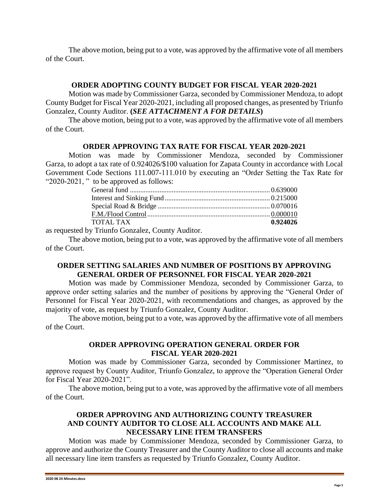### **ORDER ADOPTING COUNTY BUDGET FOR FISCAL YEAR 2020-2021**

Motion was made by Commissioner Garza, seconded by Commissioner Mendoza, to adopt County Budget for Fiscal Year 2020-2021, including all proposed changes, as presented by Triunfo Gonzalez, County Auditor. **(***SEE ATTACHMENT A FOR DETAILS***)**

The above motion, being put to a vote, was approved by the affirmative vote of all members of the Court.

## **ORDER APPROVING TAX RATE FOR FISCAL YEAR 2020-2021**

Motion was made by Commissioner Mendoza, seconded by Commissioner Garza, to adopt a tax rate of 0.924026/\$100 valuation for Zapata County in accordance with Local Government Code Sections 111.007-111.010 by executing an "Order Setting the Tax Rate for "2020-2021, " to be approved as follows:

| TOTAL TAX | 0.924026 |
|-----------|----------|
|           |          |

as requested by Triunfo Gonzalez, County Auditor.

The above motion, being put to a vote, was approved by the affirmative vote of all members of the Court.

# **ORDER SETTING SALARIES AND NUMBER OF POSITIONS BY APPROVING GENERAL ORDER OF PERSONNEL FOR FISCAL YEAR 2020-2021**

Motion was made by Commissioner Mendoza, seconded by Commissioner Garza, to approve order setting salaries and the number of positions by approving the "General Order of Personnel for Fiscal Year 2020-2021, with recommendations and changes, as approved by the majority of vote, as request by Triunfo Gonzalez, County Auditor.

The above motion, being put to a vote, was approved by the affirmative vote of all members of the Court.

## **ORDER APPROVING OPERATION GENERAL ORDER FOR FISCAL YEAR 2020-2021**

Motion was made by Commissioner Garza, seconded by Commissioner Martinez, to approve request by County Auditor, Triunfo Gonzalez, to approve the "Operation General Order for Fiscal Year 2020-2021".

The above motion, being put to a vote, was approved by the affirmative vote of all members of the Court.

# **ORDER APPROVING AND AUTHORIZING COUNTY TREASURER AND COUNTY AUDITOR TO CLOSE ALL ACCOUNTS AND MAKE ALL NECESSARY LINE ITEM TRANSFERS**

Motion was made by Commissioner Mendoza, seconded by Commissioner Garza, to approve and authorize the County Treasurer and the County Auditor to close all accounts and make all necessary line item transfers as requested by Triunfo Gonzalez, County Auditor.